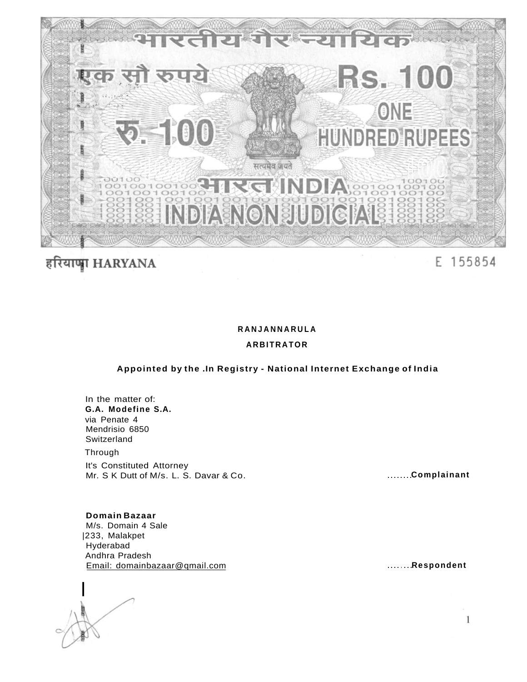

# हरियाणा HARYANA

E 155854

# **RANJANNARUL A**

## **ARBITRATOR**

# **Appointed by the .In Registry - National Internet Exchange of India**

In the matter of: **G.A. Modefine S.A.**  via Penate 4 Mendrisio 6850 Switzerland Through It's Constituted Attorney Mr. S K Dutt of M/s. L. S. Davar & Co. **Complainant** 

**Domain Bazaar**  M/s. Domain 4 Sale

|233, Malakpet Hyderabad Andhra Pradesh Email: domainbazaar@qmail.com **Respondent** 

**|** 

 $\mathbf{1}$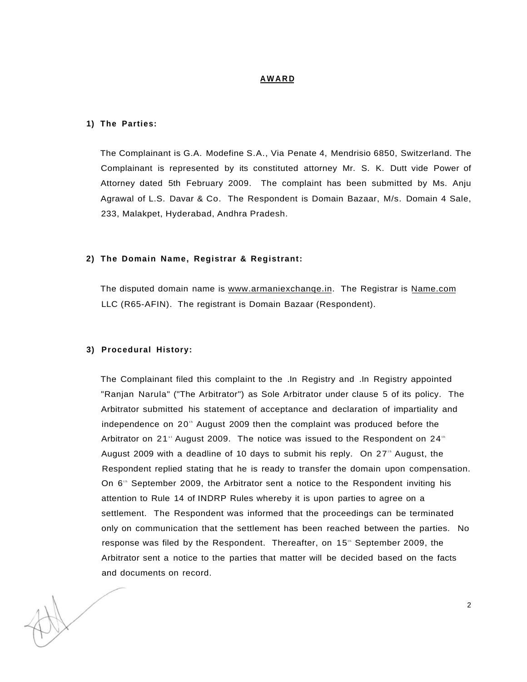## **AWAR D**

## **1) The Parties:**

The Complainant is G.A. Modefine S.A., Via Penate 4, Mendrisio 6850, Switzerland. The Complainant is represented by its constituted attorney Mr. S. K. Dutt vide Power of Attorney dated 5th February 2009. The complaint has been submitted by Ms. Anju Agrawal of L.S. Davar & Co. The Respondent is Domain Bazaar, M/s. Domain 4 Sale, 233, Malakpet, Hyderabad, Andhra Pradesh.

#### **2) The Domain Name, Registrar & Registrant:**

The disputed domain name is www.armaniexchange.in. The Registrar is [Name.com](http://Name.com) LLC (R65-AFIN). The registrant is Domain Bazaar (Respondent).

#### **3) Procedural History:**

The Complainant filed this complaint to the .In Registry and .In Registry appointed "Ranjan Narula" ("The Arbitrator") as Sole Arbitrator under clause 5 of its policy. The Arbitrator submitted his statement of acceptance and declaration of impartiality and independence on 20<sup>th</sup> August 2009 then the complaint was produced before the Arbitrator on 21" August 2009. The notice was issued to the Respondent on 24" August 2009 with a deadline of 10 days to submit his reply. On 27<sup>th</sup> August, the Respondent replied stating that he is ready to transfer the domain upon compensation. On 6<sup>th</sup> September 2009, the Arbitrator sent a notice to the Respondent inviting his attention to Rule 14 of INDRP Rules whereby it is upon parties to agree on a settlement. The Respondent was informed that the proceedings can be terminated only on communication that the settlement has been reached between the parties. No response was filed by the Respondent. Thereafter, on 15<sup>th</sup> September 2009, the Arbitrator sent a notice to the parties that matter will be decided based on the facts and documents on record.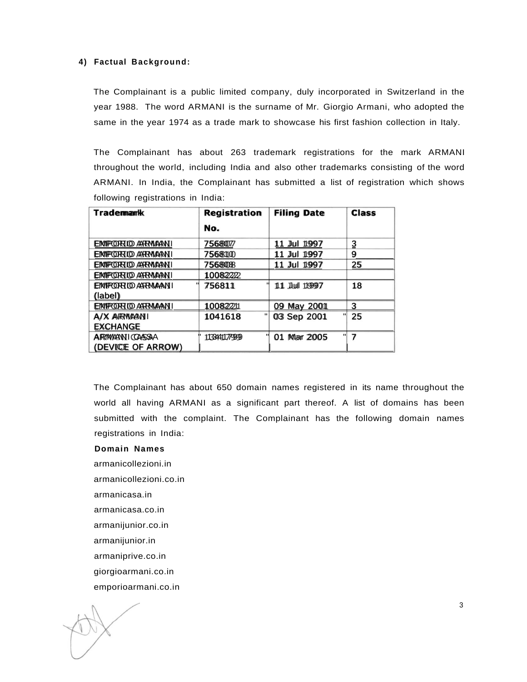#### **4) Factual Background:**

The Complainant is a public limited company, duly incorporated in Switzerland in the year 1988. The word ARMANI is the surname of Mr. Giorgio Armani, who adopted the same in the year 1974 as a trade mark to showcase his first fashion collection in Italy.

The Complainant has about 263 trademark registrations for the mark ARMANI throughout the world, including India and also other trademarks consisting of the word ARMANI. In India, the Complainant has submitted a list of registration which shows following registrations in India:

| <b>Trademank</b>        | <b>Registration</b> | <b>Filing Date</b> | <b>Class</b> |
|-------------------------|---------------------|--------------------|--------------|
|                         | No.                 |                    |              |
| EMPORIO ARMANI          | 7568077             | 11 Jul 1997        | 3            |
| EMPORIO ARMANI          | 7568100             | Jul 1997<br>11     | 9            |
| EMPORIO ARMANI          | 756808              | 11 Jul 1997        | 25           |
| EMPORIO ARRIVANI        | 10082222            |                    |              |
| EIMPORTO ARRAAAN I      | 756811              | 11 Jul 11997       | 18           |
| (label)                 |                     |                    |              |
| EIMPORTO ARRAANI        | 10082211            | 09 May 2001        | 3            |
| A/X ARYWANI             | п<br>1041618        | 03 Sep 2001        | 25<br>ш      |
| <b>EXCHANGE</b>         |                     |                    |              |
| <b>A RIMANNI (CASSA</b> | 1133411779999       | 01 Mar 2005        | "<br>7       |
| (DEVICE OF ARROW)       |                     |                    |              |

The Complainant has about 650 domain names registered in its name throughout the world all having ARMANI as a significant part thereof. A list of domains has been submitted with the complaint. The Complainant has the following domain names registrations in India:

- **Domain Names**
- armanicollezioni.in
- armanicollezioni.co.in
- armanicasa.in
- armanicasa.co.in
- armanijunior.co.in
- armanijunior.in
- armaniprive.co.in
- giorgioarmani.co.in
- emporioarmani.co.in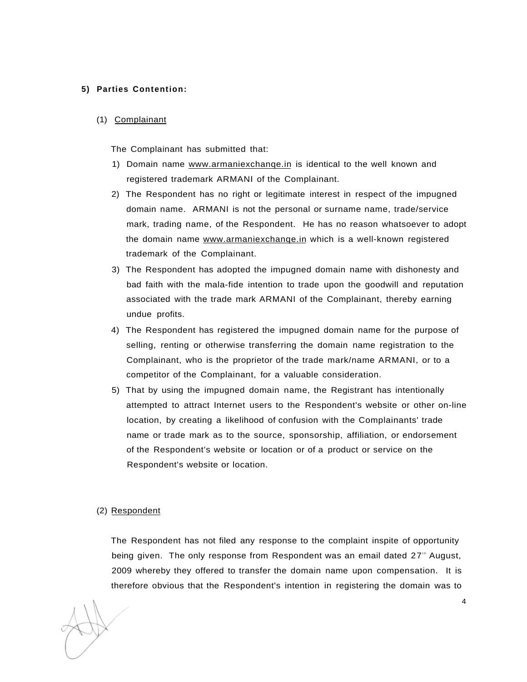## **5) Parties Contention:**

(1) Complainant

The Complainant has submitted that:

- 1) Domain name www.armaniexchange.in is identical to the well known and registered trademark ARMANI of the Complainant.
- 2) The Respondent has no right or legitimate interest in respect of the impugned domain name. ARMANI is not the personal or surname name, trade/service mark, trading name, of the Respondent. He has no reason whatsoever to adopt the domain name www.armaniexchange.in which is a well-known registered trademark of the Complainant.
- 3) The Respondent has adopted the impugned domain name with dishonesty and bad faith with the mala-fide intention to trade upon the goodwill and reputation associated with the trade mark ARMANI of the Complainant, thereby earning undue profits.
- 4) The Respondent has registered the impugned domain name for the purpose of selling, renting or otherwise transferring the domain name registration to the Complainant, who is the proprietor of the trade mark/name ARMANI, or to a competitor of the Complainant, for a valuable consideration.
- 5) That by using the impugned domain name, the Registrant has intentionally attempted to attract Internet users to the Respondent's website or other on-line location, by creating a likelihood of confusion with the Complainants' trade name or trade mark as to the source, sponsorship, affiliation, or endorsement of the Respondent's website or location or of a product or service on the Respondent's website or location.

#### (2) Respondent

The Respondent has not filed any response to the complaint inspite of opportunity being given. The only response from Respondent was an email dated 27<sup>th</sup> August, 2009 whereby they offered to transfer the domain name upon compensation. It is therefore obvious that the Respondent's intention in registering the domain was to

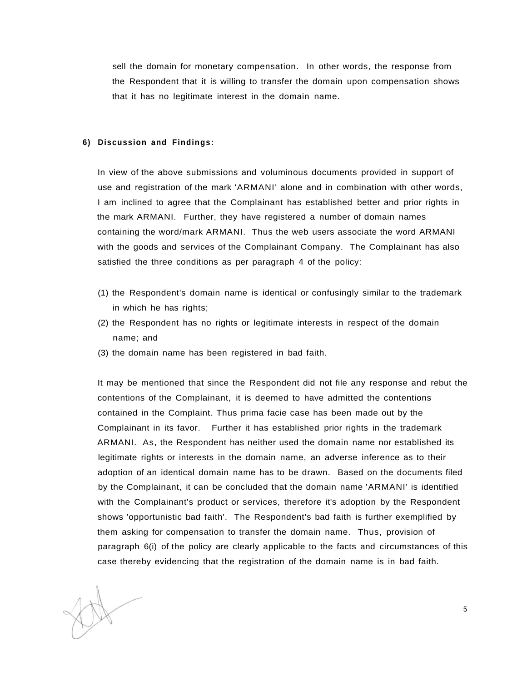sell the domain for monetary compensation. In other words, the response from the Respondent that it is willing to transfer the domain upon compensation shows that it has no legitimate interest in the domain name.

## **6) Discussion and Findings:**

In view of the above submissions and voluminous documents provided in support of use and registration of the mark 'ARMANI' alone and in combination with other words, I am inclined to agree that the Complainant has established better and prior rights in the mark ARMANI. Further, they have registered a number of domain names containing the word/mark ARMANI. Thus the web users associate the word ARMANI with the goods and services of the Complainant Company. The Complainant has also satisfied the three conditions as per paragraph 4 of the policy:

- (1) the Respondent's domain name is identical or confusingly similar to the trademark in which he has rights;
- (2) the Respondent has no rights or legitimate interests in respect of the domain name; and
- (3) the domain name has been registered in bad faith.

It may be mentioned that since the Respondent did not file any response and rebut the contentions of the Complainant, it is deemed to have admitted the contentions contained in the Complaint. Thus prima facie case has been made out by the Complainant in its favor. Further it has established prior rights in the trademark ARMANI. As, the Respondent has neither used the domain name nor established its legitimate rights or interests in the domain name, an adverse inference as to their adoption of an identical domain name has to be drawn. Based on the documents filed by the Complainant, it can be concluded that the domain name 'ARMANI' is identified with the Complainant's product or services, therefore it's adoption by the Respondent shows 'opportunistic bad faith'. The Respondent's bad faith is further exemplified by them asking for compensation to transfer the domain name. Thus, provision of paragraph 6(i) of the policy are clearly applicable to the facts and circumstances of this case thereby evidencing that the registration of the domain name is in bad faith.